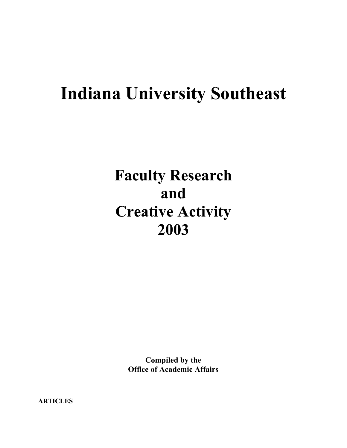# **Indiana University Southeast**

# **Faculty Research and Creative Activity 2003**

**Compiled by the Office of Academic Affairs**

**ARTICLES**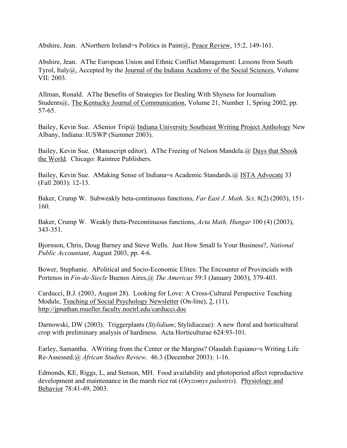Abshire, Jean. ANorthern Ireland=s Politics in Paint(a), Peace Review, 15:2, 149-161.

Abshire, Jean. AThe European Union and Ethnic Conflict Management: Lessons from South Tyrol, Italy@, Accepted by the Journal of the Indiana Academy of the Social Sciences, Volume VII: 2003.

Allman, Ronald. AThe Benefits of Strategies for Dealing With Shyness for Journalism Students@, The Kentucky Journal of Communication, Volume 21, Number 1, Spring 2002, pp. 57-65.

Bailey, Kevin Sue. ASenior Trip@ Indiana University Southeast Writing Project Anthology New Albany, Indiana: IUSWP (Summer 2003).

Bailey, Kevin Sue. (Manuscript editor). AThe Freeing of Nelson Mandela. @ Days that Shook the World. Chicago: Raintree Publishers.

Bailey, Kevin Sue. AMaking Sense of Indiana=s Academic Standards.@ ISTA Advocate 33 (Fall 2003): 12-13.

Baker, Crump W. Subweakly beta-continuous functions, *Far East J. Math. Sci*. 8(2) (2003), 151- 160.

Baker, Crump W. Weakly theta-Precontinuous functions, *Acta Math, Hungar* 100 (4) (2003), 343-351.

Bjornson, Chris, Doug Barney and Steve Wells. Just How Small Is Your Business?, *National Public Accountant*, August 2003, pp. 4-6.

Bower, Stephanie. APolitical and Socio-Economic Elites: The Encounter of Provincials with Portenos in *Fin-de-Siecle* Buenos Aires,@ *The Americas* 59:3 (January 2003), 379-403.

Carducci, B.J. (2003, August 28). Looking for Love: A Cross-Cultural Perspective Teaching Module, Teaching of Social Psychology Newsletter (On-line), 2, (11), http://jpnathan.mueller.faculty.noctrl.edu/carducci.doc

Darnowski, DW (2003). Triggerplants (*Stylidium*; Stylidiaceae): A new floral and horticultural crop with preliminary analysis of hardiness. Acta Horticulturae 624:93-101.

Earley, Samantha. AWriting from the Center or the Margins? Olaudah Equiano=s Writing Life Re-Assessed.@ *African Studies Review*. 46.3 (December 2003): 1-16.

Edmonds, KE, Riggs, L, and Stetson, MH. Food availability and photoperiod affect reproductive development and maintenance in the marsh rice rat (*Oryzomys palustris*). Physiology and Behavior 78:41-49, 2003.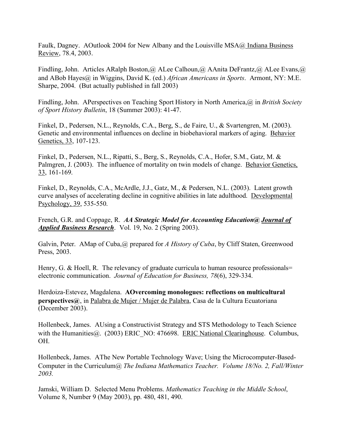Faulk, Dagney. AOutlook 2004 for New Albany and the Louisville MSA@ Indiana Business Review, 78.4, 2003.

Findling, John. Articles ARalph Boston, @ ALee Calhoun, @ AAnita DeFrantz, @ ALee Evans, @ and ABob Hayes@ in Wiggins, David K. (ed.) *African Americans in Sports*. Armont, NY: M.E. Sharpe, 2004. (But actually published in fall 2003)

Findling, John. APerspectives on Teaching Sport History in North America,@ in *British Society of Sport History Bulletin*, 18 (Summer 2003): 41-47.

Finkel, D., Pedersen, N.L., Reynolds, C.A., Berg, S., de Faire, U., & Svartengren, M. (2003). Genetic and environmental influences on decline in biobehavioral markers of aging. Behavior Genetics, 33, 107-123.

Finkel, D., Pedersen, N.L., Ripatti, S., Berg, S., Reynolds, C.A., Hofer, S.M., Gatz, M. & Palmgren, J. (2003). The influence of mortality on twin models of change. Behavior Genetics, 33, 161-169.

Finkel, D., Reynolds, C.A., McArdle, J.J., Gatz, M., & Pedersen, N.L. (2003). Latent growth curve analyses of accelerating decline in cognitive abilities in late adulthood. Developmental Psychology, 39, 535-550.

French, G.R. and Coppage, R. *AA Strategic Model for Accounting Education@ Journal of Applied Business Research*. Vol. 19, No. 2 (Spring 2003).

Galvin, Peter. AMap of Cuba,@ prepared for *A History of Cuba*, by Cliff Staten, Greenwood Press, 2003.

Henry, G. & Hoell, R. The relevancy of graduate curricula to human resource professionals= electronic communication. *Journal of Education for Business, 78*(6), 329-334.

Herdoiza-Estevez, Magdalena. **AOvercoming monologues: reflections on multicultural perspectives@**, in Palabra de Mujer / Mujer de Palabra, Casa de la Cultura Ecuatoriana (December 2003).

Hollenbeck, James. AUsing a Constructivist Strategy and STS Methodology to Teach Science with the Humanities (a). (2003) ERIC NO: 476698. ERIC National Clearinghouse. Columbus, OH.

Hollenbeck, James. AThe New Portable Technology Wave; Using the Microcomputer-Based-Computer in the Curriculum@ *The Indiana Mathematics Teacher. Volume 18/No. 2, Fall/Winter 2003.*

Jamski, William D. Selected Menu Problems. *Mathematics Teaching in the Middle School*, Volume 8, Number 9 (May 2003), pp. 480, 481, 490.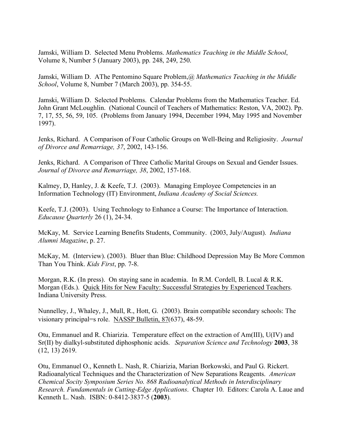Jamski, William D. Selected Menu Problems. *Mathematics Teaching in the Middle School*, Volume 8, Number 5 (January 2003), pp. 248, 249, 250.

Jamski, William D. AThe Pentomino Square Problem,@ *Mathematics Teaching in the Middle School*, Volume 8, Number 7 (March 2003), pp. 354-55.

Jamski, William D. Selected Problems. Calendar Problems from the Mathematics Teacher. Ed. John Grant McLoughlin. (National Council of Teachers of Mathematics: Reston, VA, 2002). Pp. 7, 17, 55, 56, 59, 105. (Problems from January 1994, December 1994, May 1995 and November 1997).

Jenks, Richard. A Comparison of Four Catholic Groups on Well-Being and Religiosity. *Journal of Divorce and Remarriage, 37*, 2002, 143-156.

Jenks, Richard. A Comparison of Three Catholic Marital Groups on Sexual and Gender Issues. *Journal of Divorce and Remarriage, 38*, 2002, 157-168.

Kalmey, D, Hanley, J. & Keefe, T.J. (2003). Managing Employee Competencies in an Information Technology (IT) Environment, *Indiana Academy of Social Sciences.*

Keefe, T.J. (2003). Using Technology to Enhance a Course: The Importance of Interaction. *Educause Quarterly* 26 (1), 24-34.

McKay, M. Service Learning Benefits Students, Community. (2003, July/August). *Indiana Alumni Magazine*, p. 27.

McKay, M. (Interview). (2003). Bluer than Blue: Childhood Depression May Be More Common Than You Think. *Kids First*, pp. 7-8.

Morgan, R.K. (In press). On staying sane in academia. In R.M. Cordell, B. Lucal & R.K. Morgan (Eds.). Quick Hits for New Faculty: Successful Strategies by Experienced Teachers. Indiana University Press.

Nunnelley, J., Whaley, J., Mull, R., Hott, G. (2003). Brain compatible secondary schools: The visionary principal=s role. NASSP Bulletin, 87(637), 48-59.

Otu, Emmanuel and R. Chiarizia. Temperature effect on the extraction of Am(III), U(IV) and Sr(II) by dialkyl-substituted diphosphonic acids. *Separation Science and Technology* **2003**, 38 (12, 13) 2619.

Otu, Emmanuel O., Kenneth L. Nash, R. Chiarizia, Marian Borkowski, and Paul G. Rickert. Radioanalytical Techniques and the Characterization of New Separations Reagents. *American Chemical Socity Symposium Series No. 868 Radioanalytical Methods in Interdisciplinary Research. Fundamentals in Cutting-Edge Applications*. Chapter 10. Editors: Carola A. Laue and Kenneth L. Nash. ISBN: 0-8412-3837-5 (**2003**).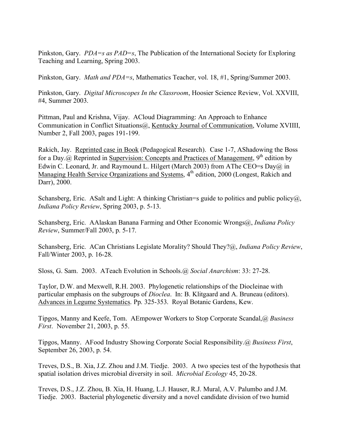Pinkston, Gary. *PDA=s as PAD=s*, The Publication of the International Society for Exploring Teaching and Learning, Spring 2003.

Pinkston, Gary. *Math and PDA=s*, Mathematics Teacher, vol. 18, #1, Spring/Summer 2003.

Pinkston, Gary. *Digital Microscopes In the Classroom*, Hoosier Science Review, Vol. XXVIII, #4, Summer 2003.

Pittman, Paul and Krishna, Vijay. ACloud Diagramming: An Approach to Enhance Communication in Conflict Situations@, Kentucky Journal of Communication, Volume XVIIII, Number 2, Fall 2003, pages 191-199.

Rakich, Jay. Reprinted case in Book (Pedagogical Research). Case 1-7, AShadowing the Boss for a Day. @ Reprinted in Supervision: Concepts and Practices of Management,  $9<sup>th</sup>$  edition by Edwin C. Leonard, Jr. and Raymound L. Hilgert (March 2003) from AThe CEO=s Day $\omega$  in Managing Health Service Organizations and Systems,  $4<sup>th</sup>$  edition, 2000 (Longest, Rakich and Darr), 2000.

Schansberg, Eric. ASalt and Light: A thinking Christian=s guide to politics and public policy $\omega$ , *Indiana Policy Review*, Spring 2003, p. 5-13.

Schansberg, Eric. AAlaskan Banana Farming and Other Economic Wrongs@, *Indiana Policy Review*, Summer/Fall 2003, p. 5-17.

Schansberg, Eric. ACan Christians Legislate Morality? Should They?@, *Indiana Policy Review*, Fall/Winter 2003, p. 16-28.

Sloss, G. Sam. 2003. ATeach Evolution in Schools.@ *Social Anarchism*: 33: 27-28.

Taylor, D.W. and Mexwell, R.H. 2003. Phylogenetic relationships of the Diocleinae with particular emphasis on the subgroups of *Dioclea*. In: B. Klitgaard and A. Bruneau (editors). Advances in Legume Systematics. Pp. 325-353. Royal Botanic Gardens, Kew.

Tipgos, Manny and Keefe, Tom. AEmpower Workers to Stop Corporate Scandal,@ *Business First*. November 21, 2003, p. 55.

Tipgos, Manny. AFood Industry Showing Corporate Social Responsibility.@ *Business First*, September 26, 2003, p. 54.

Treves, D.S., B. Xia, J.Z. Zhou and J.M. Tiedje. 2003. A two species test of the hypothesis that spatial isolation drives microbial diversity in soil. *Microbial Ecology* 45, 20-28.

Treves, D.S., J.Z. Zhou, B. Xia, H. Huang, L.J. Hauser, R.J. Mural, A.V. Palumbo and J.M. Tiedje. 2003. Bacterial phylogenetic diversity and a novel candidate division of two humid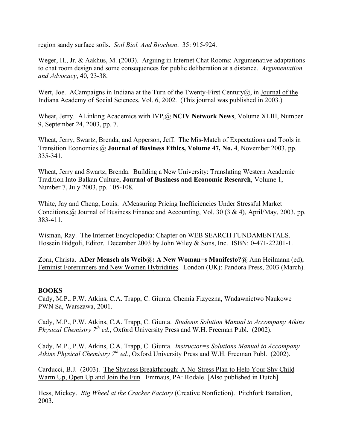region sandy surface soils. *Soil Biol. And Biochem*. 35: 915-924.

Weger, H., Jr. & Aakhus, M. (2003). Arguing in Internet Chat Rooms: Argumenative adaptations to chat room design and some consequences for public deliberation at a distance. *Argumentation and Advocacy*, 40, 23-38.

Wert, Joe. A Campaigns in Indiana at the Turn of the Twenty-First Century $(a)$ , in Journal of the Indiana Academy of Social Sciences, Vol. 6, 2002. (This journal was published in 2003.)

Wheat, Jerry. ALinking Academics with IVP,@ **NCIV Network News**, Volume XLIII, Number 9, September 24, 2003, pp. 7.

Wheat, Jerry, Swartz, Brenda, and Apperson, Jeff. The Mis-Match of Expectations and Tools in Transition Economies.@ **Journal of Business Ethics, Volume 47, No. 4**, November 2003, pp. 335-341.

Wheat, Jerry and Swartz, Brenda. Building a New University: Translating Western Academic Tradition Into Balkan Culture, **Journal of Business and Economic Research**, Volume 1, Number 7, July 2003, pp. 105-108.

White, Jay and Cheng, Louis. AMeasuring Pricing Inefficiencies Under Stressful Market Conditions,@ Journal of Business Finance and Accounting, Vol. 30 (3 & 4), April/May, 2003, pp. 383-411.

Wisman, Ray. The Internet Encyclopedia: Chapter on WEB SEARCH FUNDAMENTALS. Hossein Bidgoli, Editor. December 2003 by John Wiley & Sons, Inc. ISBN: 0-471-22201-1.

Zorn, Christa. **ADer Mensch als Weib@: A New Woman=s Manifesto?@** Ann Heilmann (ed), Feminist Forerunners and New Women Hybridities. London (UK): Pandora Press, 2003 (March).

# **BOOKS**

Cady, M.P., P.W. Atkins, C.A. Trapp, C. Giunta. Chemia Fizyczna, Wndawnictwo Naukowe PWN Sa, Warszawa, 2001.

Cady, M.P., P.W. Atkins, C.A. Trapp, C. Giunta. *Students Solution Manual to Accompany Atkins Physical Chemistry 7th ed.*, Oxford University Press and W.H. Freeman Publ. (2002).

Cady, M.P., P.W. Atkins, C.A. Trapp, C. Giunta. *Instructor=s Solutions Manual to Accompany Atkins Physical Chemistry 7th ed.*, Oxford University Press and W.H. Freeman Publ. (2002).

Carducci, B.J. (2003). The Shyness Breakthrough: A No-Stress Plan to Help Your Shy Child Warm Up, Open Up and Join the Fun. Emmaus, PA: Rodale. [Also published in Dutch]

Hess, Mickey. *Big Wheel at the Cracker Factory* (Creative Nonfiction). Pitchfork Battalion, 2003.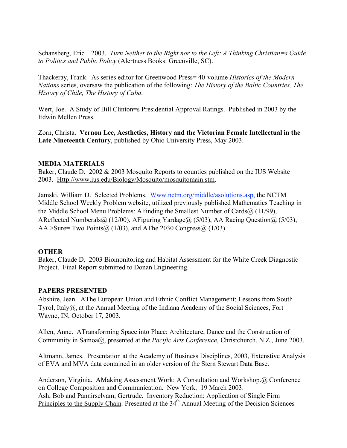Schansberg, Eric. 2003. *Turn Neither to the Right nor to the Left: A Thinking Christian=s Guide to Politics and Public Policy* (Alertness Books: Greenville, SC).

Thackeray, Frank. As series editor for Greenwood Press= 40-volume *Histories of the Modern Nations* series, oversaw the publication of the following: *The History of the Baltic Countries, The History of Chile, The History of Cuba*.

Wert, Joe. A Study of Bill Clinton=s Presidential Approval Ratings. Published in 2003 by the Edwin Mellen Press.

Zorn, Christa. **Vernon Lee, Aesthetics, History and the Victorian Female Intellectual in the Late Nineteenth Century**, published by Ohio University Press, May 2003.

### **MEDIA MATERIALS**

Baker, Claude D. 2002 & 2003 Mosquito Reports to counties published on the IUS Website 2003. Http://www.ius.edu/Biology/Mosquito/mosquitomain.stm.

Jamski, William D. Selected Problems. Www.nctm.org/middle/asolutions.asp, the NCTM Middle School Weekly Problem website, utilized previously published Mathematics Teaching in the Middle School Menu Problems: AFinding the Smallest Number of Cards@ (11/99), AReflected Numberals@ (12/00), AFiguring Yardage@ (5/03), AA Racing Question@ (5/03), AA >Sure= Two Points@ (1/03), and AThe 2030 Congress@ (1/03).

# **OTHER**

Baker, Claude D. 2003 Biomonitoring and Habitat Assessment for the White Creek Diagnostic Project. Final Report submitted to Donan Engineering.

# **PAPERS PRESENTED**

Abshire, Jean. AThe European Union and Ethnic Conflict Management: Lessons from South Tyrol, Italy@, at the Annual Meeting of the Indiana Academy of the Social Sciences, Fort Wayne, IN, October 17, 2003.

Allen, Anne. ATransforming Space into Place: Architecture, Dance and the Construction of Community in Samoa@, presented at the *Pacific Arts Conference*, Christchurch, N.Z., June 2003.

Altmann, James. Presentation at the Academy of Business Disciplines, 2003, Extenstive Analysis of EVA and MVA data contained in an older version of the Stern Stewart Data Base.

Anderson, Virginia. AMaking Assessment Work: A Consultation and Workshop.@ Conference on College Composition and Communication. New York. 19 March 2003. Ash, Bob and Pannirselvam, Gertrude. Inventory Reduction: Application of Single Firm Principles to the Supply Chain. Presented at the 34<sup>th</sup> Annual Meeting of the Decision Sciences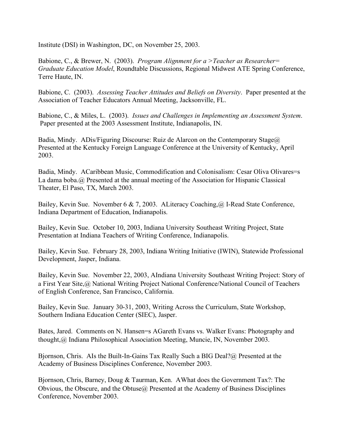Institute (DSI) in Washington, DC, on November 25, 2003.

Babione, C., & Brewer, N. (2003). *Program Alignment for a >Teacher as Researcher= Graduate Education Model*, Roundtable Discussions, Regional Midwest ATE Spring Conference, Terre Haute, IN.

Babione, C. (2003). *Assessing Teacher Attitudes and Beliefs on Diversity*. Paper presented at the Association of Teacher Educators Annual Meeting, Jacksonville, FL.

Babione, C., & Miles, L. (2003). *Issues and Challenges in Implementing an Assessment System*. Paper presented at the 2003 Assessment Institute, Indianapolis, IN.

Badia, Mindy. ADis/Figuring Discourse: Ruiz de Alarcon on the Contemporary Stage $\omega$ Presented at the Kentucky Foreign Language Conference at the University of Kentucky, April 2003.

Badia, Mindy. ACaribbean Music, Commodification and Colonisalism: Cesar Oliva Olivares=s La dama boba.@ Presented at the annual meeting of the Association for Hispanic Classical Theater, El Paso, TX, March 2003.

Bailey, Kevin Sue. November 6 & 7, 2003. ALiteracy Coaching, @ I-Read State Conference, Indiana Department of Education, Indianapolis.

Bailey, Kevin Sue. October 10, 2003, Indiana University Southeast Writing Project, State Presentation at Indiana Teachers of Writing Conference, Indianapolis.

Bailey, Kevin Sue. February 28, 2003, Indiana Writing Initiative (IWIN), Statewide Professional Development, Jasper, Indiana.

Bailey, Kevin Sue. November 22, 2003, AIndiana University Southeast Writing Project: Story of a First Year Site,@ National Writing Project National Conference/National Council of Teachers of English Conference, San Francisco, California.

Bailey, Kevin Sue. January 30-31, 2003, Writing Across the Curriculum, State Workshop, Southern Indiana Education Center (SIEC), Jasper.

Bates, Jared. Comments on N. Hansen=s AGareth Evans vs. Walker Evans: Photography and thought,@ Indiana Philosophical Association Meeting, Muncie, IN, November 2003.

Bjornson, Chris. AIs the Built-In-Gains Tax Really Such a BIG Deal?@ Presented at the Academy of Business Disciplines Conference, November 2003.

Bjornson, Chris, Barney, Doug & Taurman, Ken. AWhat does the Government Tax?: The Obvious, the Obscure, and the Obtuse@ Presented at the Academy of Business Disciplines Conference, November 2003.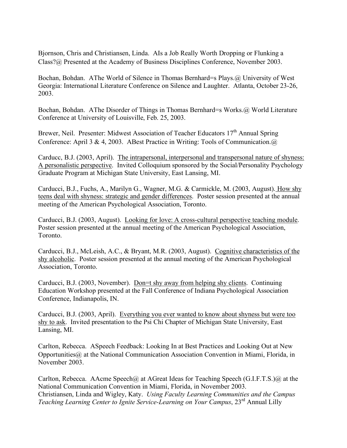Bjornson, Chris and Christiansen, Linda. AIs a Job Really Worth Dropping or Flunking a Class?@ Presented at the Academy of Business Disciplines Conference, November 2003.

Bochan, Bohdan. AThe World of Silence in Thomas Bernhard=s Plays.@ University of West Georgia: International Literature Conference on Silence and Laughter. Atlanta, October 23-26, 2003.

Bochan, Bohdan. AThe Disorder of Things in Thomas Bernhard=s Works.@ World Literature Conference at University of Louisville, Feb. 25, 2003.

Brewer, Neil. Presenter: Midwest Association of Teacher Educators 17<sup>th</sup> Annual Spring Conference: April 3 & 4, 2003. ABest Practice in Writing: Tools of Communication.@

Carducc, B.J. (2003, April). The intrapersonal, interpersonal and transpersonal nature of shyness: A personalistic perspective. Invited Colloquium sponsored by the Social/Personality Psychology Graduate Program at Michigan State University, East Lansing, MI.

Carducci, B.J., Fuchs, A., Marilyn G., Wagner, M.G. & Carmickle, M. (2003, August). How shy teens deal with shyness: strategic and gender differences. Poster session presented at the annual meeting of the American Psychological Association, Toronto.

Carducci, B.J. (2003, August). Looking for love: A cross-cultural perspective teaching module. Poster session presented at the annual meeting of the American Psychological Association, Toronto.

Carducci, B.J., McLeish, A.C., & Bryant, M.R. (2003, August). Cognitive characteristics of the shy alcoholic. Poster session presented at the annual meeting of the American Psychological Association, Toronto.

Carducci, B.J. (2003, November). <u>Don=t shy away from helping shy clients</u>. Continuing Education Workshop presented at the Fall Conference of Indiana Psychological Association Conference, Indianapolis, IN.

Carducci, B.J. (2003, April). Everything you ever wanted to know about shyness but were too shy to ask. Invited presentation to the Psi Chi Chapter of Michigan State University, East Lansing, MI.

Carlton, Rebecca. ASpeech Feedback: Looking In at Best Practices and Looking Out at New Opportunities@ at the National Communication Association Convention in Miami, Florida, in November 2003.

Carlton, Rebecca. AAcme Speech@ at AGreat Ideas for Teaching Speech (G.I.F.T.S.)@ at the National Communication Convention in Miami, Florida, in November 2003. Christiansen, Linda and Wigley, Katy. *Using Faculty Learning Communities and the Campus Teaching Learning Center to Ignite Service-Learning on Your Campus*, 23rd Annual Lilly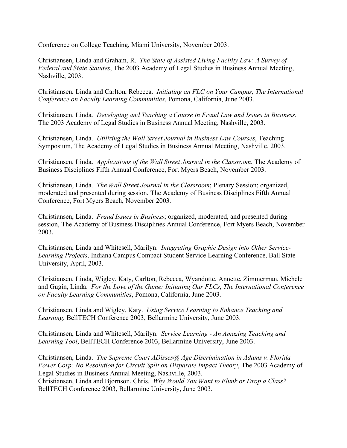Conference on College Teaching, Miami University, November 2003.

Christiansen, Linda and Graham, R. *The State of Assisted Living Facility Law: A Survey of Federal and State Statutes*, The 2003 Academy of Legal Studies in Business Annual Meeting, Nashville, 2003.

Christiansen, Linda and Carlton, Rebecca. *Initiating an FLC on Your Campus, The International Conference on Faculty Learning Communities*, Pomona, California, June 2003.

Christiansen, Linda. *Developing and Teaching a Course in Fraud Law and Issues in Business*, The 2003 Academy of Legal Studies in Business Annual Meeting, Nashville, 2003.

Christiansen, Linda. *Utilizing the Wall Street Journal in Business Law Courses*, Teaching Symposium, The Academy of Legal Studies in Business Annual Meeting, Nashville, 2003.

Christiansen, Linda. *Applications of the Wall Street Journal in the Classroom*, The Academy of Business Disciplines Fifth Annual Conference, Fort Myers Beach, November 2003.

Christiansen, Linda. *The Wall Street Journal in the Classroom*; Plenary Session; organized, moderated and presented during session, The Academy of Business Disciplines Fifth Annual Conference, Fort Myers Beach, November 2003.

Christiansen, Linda. *Fraud Issues in Business*; organized, moderated, and presented during session, The Academy of Business Disciplines Annual Conference, Fort Myers Beach, November 2003.

Christiansen, Linda and Whitesell, Marilyn. *Integrating Graphic Design into Other Service-Learning Projects*, Indiana Campus Compact Student Service Learning Conference, Ball State University, April, 2003.

Christiansen, Linda, Wigley, Katy, Carlton, Rebecca, Wyandotte, Annette, Zimmerman, Michele and Gugin, Linda. *For the Love of the Game: Initiating Our FLCs*, *The International Conference on Faculty Learning Communities*, Pomona, California, June 2003.

Christiansen, Linda and Wigley, Katy. *Using Service Learning to Enhance Teaching and Learning*, BellTECH Conference 2003, Bellarmine University, June 2003.

Christiansen, Linda and Whitesell, Marilyn. *Service Learning - An Amazing Teaching and Learning Tool*, BellTECH Conference 2003, Bellarmine University, June 2003.

Christiansen, Linda. *The Supreme Court ADisses@ Age Discrimination in Adams v. Florida Power Corp: No Resolution for Circuit Split on Disparate Impact Theory*, The 2003 Academy of Legal Studies in Business Annual Meeting, Nashville, 2003. Christiansen, Linda and Bjornson, Chris. *Why Would You Want to Flunk or Drop a Class?* BellTECH Conference 2003, Bellarmine University, June 2003.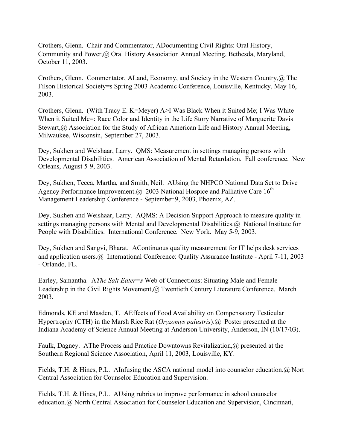Crothers, Glenn. Chair and Commentator, ADocumenting Civil Rights: Oral History, Community and Power,@ Oral History Association Annual Meeting, Bethesda, Maryland, October 11, 2003.

Crothers, Glenn. Commentator, ALand, Economy, and Society in the Western Country,@ The Filson Historical Society=s Spring 2003 Academic Conference, Louisville, Kentucky, May 16, 2003.

Crothers, Glenn. (With Tracy E. K=Meyer) A>I Was Black When it Suited Me; I Was White When it Suited Me=: Race Color and Identity in the Life Story Narrative of Marguerite Davis Stewart, @ Association for the Study of African American Life and History Annual Meeting, Milwaukee, Wisconsin, September 27, 2003.

Dey, Sukhen and Weishaar, Larry. QMS: Measurement in settings managing persons with Developmental Disabilities. American Association of Mental Retardation. Fall conference. New Orleans, August 5-9, 2003.

Dey, Sukhen, Tecca, Martha, and Smith, Neil. AUsing the NHPCO National Data Set to Drive Agency Performance Improvement.  $\omega$  2003 National Hospice and Palliative Care 16<sup>th</sup> Management Leadership Conference - September 9, 2003, Phoenix, AZ.

Dey, Sukhen and Weishaar, Larry. AQMS: A Decision Support Approach to measure quality in settings managing persons with Mental and Developmental Disabilities.@ National Institute for People with Disabilities. International Conference. New York. May 5-9, 2003.

Dey, Sukhen and Sangvi, Bharat. AContinuous quality measurement for IT helps desk services and application users.@ International Conference: Quality Assurance Institute - April 7-11, 2003 - Orlando, FL.

Earley, Samantha. A*The Salt Eater=s* Web of Connections: Situating Male and Female Leadership in the Civil Rights Movement,@ Twentieth Century Literature Conference. March 2003.

Edmonds, KE and Masden, T. AEffects of Food Availability on Compensatory Testicular Hypertrophy (CTH) in the Marsh Rice Rat (*Oryzomys palustris*).@ Poster presented at the Indiana Academy of Science Annual Meeting at Anderson University, Anderson, IN (10/17/03).

Faulk, Dagney. AThe Process and Practice Downtowns Revitalization,@ presented at the Southern Regional Science Association, April 11, 2003, Louisville, KY.

Fields, T.H. & Hines, P.L. AInfusing the ASCA national model into counselor education.@ Nort Central Association for Counselor Education and Supervision.

Fields, T.H. & Hines, P.L. AUsing rubrics to improve performance in school counselor education.@ North Central Association for Counselor Education and Supervision, Cincinnati,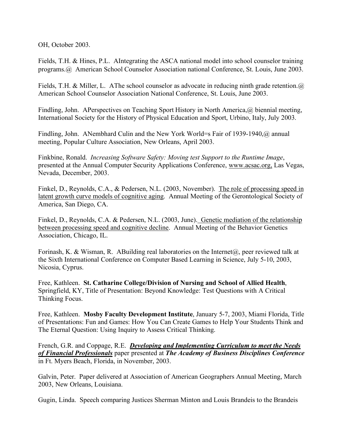OH, October 2003.

Fields, T.H. & Hines, P.L. AIntegrating the ASCA national model into school counselor training programs.@ American School Counselor Association national Conference, St. Louis, June 2003.

Fields, T.H. & Miller, L. AThe school counselor as advocate in reducing ninth grade retention.  $\omega$ American School Counselor Association National Conference, St. Louis, June 2003.

Findling, John. APerspectives on Teaching Sport History in North America, @ biennial meeting, International Society for the History of Physical Education and Sport, Urbino, Italy, July 2003.

Findling, John. ANembhard Culin and the New York World=s Fair of 1939-1940,@ annual meeting, Popular Culture Association, New Orleans, April 2003.

Finkbine, Ronald. *Increasing Software Safety: Moving test Support to the Runtime Image*, presented at the Annual Computer Security Applications Conference, www.acsac.org, Las Vegas, Nevada, December, 2003.

Finkel, D., Reynolds, C.A., & Pedersen, N.L. (2003, November). The role of processing speed in latent growth curve models of cognitive aging. Annual Meeting of the Gerontological Society of America, San Diego, CA.

Finkel, D., Reynolds, C.A. & Pedersen, N.L. (2003, June). Genetic mediation of the relationship between processing speed and cognitive decline. Annual Meeting of the Behavior Genetics Association, Chicago, IL.

Forinash, K. & Wisman, R. ABuilding real laboratories on the Internet $(a)$ , peer reviewed talk at the Sixth International Conference on Computer Based Learning in Science, July 5-10, 2003, Nicosia, Cyprus.

Free, Kathleen. **St. Catharine College/Division of Nursing and School of Allied Health**, Springfield, KY, Title of Presentation: Beyond Knowledge: Test Questions with A Critical Thinking Focus.

Free, Kathleen. **Mosby Faculty Development Institute**, January 5-7, 2003, Miami Florida, Title of Presentations: Fun and Games: How You Can Create Games to Help Your Students Think and The Eternal Question: Using Inquiry to Assess Critical Thinking.

French, G.R. and Coppage, R.E. *Developing and Implementing Curriculum to meet the Needs of Financial Professionals* paper presented at *The Academy of Business Disciplines Conference* in Ft. Myers Beach, Florida, in November, 2003.

Galvin, Peter. Paper delivered at Association of American Geographers Annual Meeting, March 2003, New Orleans, Louisiana.

Gugin, Linda. Speech comparing Justices Sherman Minton and Louis Brandeis to the Brandeis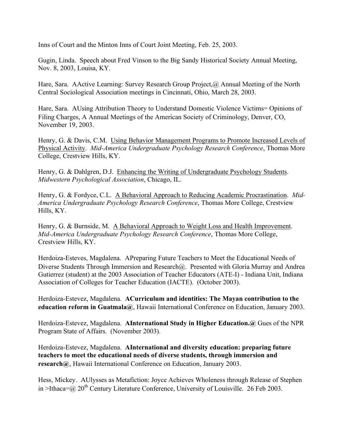Inns of Court and the Minton Inns of Court Joint Meeting, Feb. 25, 2003.

Gugin, Linda. Speech about Fred Vinson to the Big Sandy Historical Society Annual Meeting, Nov. 8, 2003, Louisa, KY.

Hare, Sara. AActive Learning: Survey Research Group Project, @ Annual Meeting of the North Central Sociological Association meetings in Cincinnati, Ohio, March 28, 2003.

Hare, Sara. AUsing Attribution Theory to Understand Domestic Violence Victims= Opinions of Filing Charges, A Annual Meetings of the American Society of Criminology, Denver, CO, November 19, 2003.

Henry, G. & Davis, C.M. Using Behavior Management Programs to Promote Increased Levels of Physical Activity. *Mid-America Undergraduate Psychology Research Conference*, Thomas More College, Crestview Hills, KY.

Henry, G. & Dahlgren, D.J. Enhancing the Writing of Undergraduate Psychology Students. *Midwestern Psychological Association*, Chicago, IL.

Henry, G. & Fordyce, C.L. A Behavioral Approach to Reducing Academic Procrastination. *Mid-America Undergraduate Psychology Research Conference*, Thomas More College, Crestview Hills, KY.

Henry, G. & Burnside, M. A Behavioral Approach to Weight Loss and Health Improvement. *Mid-America Undergraduate Psychology Research Conference*, Thomas More College, Crestview Hills, KY.

Herdoiza-Esteves, Magdalena. APreparing Future Teachers to Meet the Educational Needs of Diverse Students Through Immersion and Research@. Presented with Gloria Murray and Andrea Gutierrez (student) at the 2003 Association of Teacher Educators (ATE-I) - Indiana Unit, Indiana Association of Colleges for Teacher Education (IACTE). (October 2003).

Herdoiza-Estevez, Magdalena. **ACurriculum and identities: The Mayan contribution to the education reform in Guatmala@**, Hawaii International Conference on Education, January 2003.

Herdoiza-Estevez, Magdalena. **AInternational Study in Higher Education.@** Gues of the NPR Program State of Affairs. (November 2003).

Herdoiza-Estevez, Magdalena. **AInternational and diversity education: preparing future teachers to meet the educational needs of diverse students, through immersion and research@**, Hawaii International Conference on Education, January 2003.

Hess, Mickey. AUlysses as Metafiction: Joyce Achieves Wholeness through Release of Stephen in >Ithaca= $\omega$  20<sup>th</sup> Century Literature Conference, University of Louisville. 26 Feb 2003.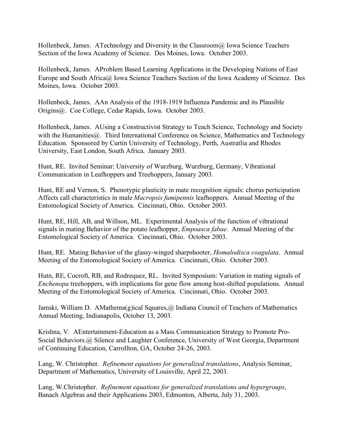Hollenbeck, James. ATechnology and Diversity in the Classroom@ Iowa Science Teachers Section of the Iowa Academy of Science. Des Moines, Iowa. October 2003.

Hollenbeck, James. AProblem Based Learning Applications in the Developing Nations of East Europe and South Africa@ Iowa Science Teachers Section of the Iowa Academy of Science. Des Moines, Iowa. October 2003.

Hollenbeck, James. AAn Analysis of the 1918-1919 Influenza Pandemic and its Plausible Origins@. Coe College, Cedar Rapids, Iowa. October 2003.

Hollenbeck, James. AUsing a Constructivist Strategy to Teach Science, Technology and Society with the Humanities (a). Third International Conference on Science, Mathematics and Technology Education. Sponsored by Curtin University of Technology, Perth, Austratlia and Rhodes University, East London, South Africa. January 2003.

Hunt, RE. Invited Seminar: University of Wurzburg, Wurzburg, Germany, Vibrational Communication in Leafhoppers and Treehoppers, January 2003.

Hunt, RE and Vernon, S. Phenotypic plasticity in mate recognition signals: chorus perticipation Affects call characteristics in male *Macropsis fumipennis* leafhoppers. Annual Meeting of the Entomological Society of America. Cincinnati, Ohio. October 2003.

Hunt, RE, Hill, AB, and Willson, ML. Experimental Analysis of the function of vibrational signals in mating Behavior of the potato leafhopper, *Empoasca fabae*. Annual Meeting of the Entomological Society of America. Cincinnati, Ohio. October 2003.

Hunt, RE. Mating Behavior of the glassy-winged sharpshooter, *Homalodisca coagulata*. Annual Meeting of the Entomological Society of America. Cincinnati, Ohio. October 2003.

Hutn, RE, Cocroft, RB, and Rodrequez, RL. Invited Symposium: Variation in mating signals of *Enchenopa* treehoppers, with implications for gene flow among host-shifted populations. Annual Meeting of the Entomological Society of America. Cincinnati, Ohio. October 2003.

Jamski, William D. AMathema(g)ical Squares, @ Indiana Council of Teachers of Mathematics Annual Meeting, Indianapolis, October 13, 2003.

Krishna, V. AEntertainment-Education as a Mass Communication Strategy to Promote Pro-Social Behaviors.@ Silence and Laughter Conference, University of West Georgia, Department of Continuing Education, Carrollton, GA, October 24-26, 2003.

Lang, W. Christopher. *Refinement equations for generalized translations*, Analysis Seminar, Department of Mathematics, University of Louisville, April 22, 2003.

Lang, W.Christopher. *Refinement equations for generalized translations and hypergroups*, Banach Algebras and their Applications 2003, Edmonton, Alberta, July 31, 2003.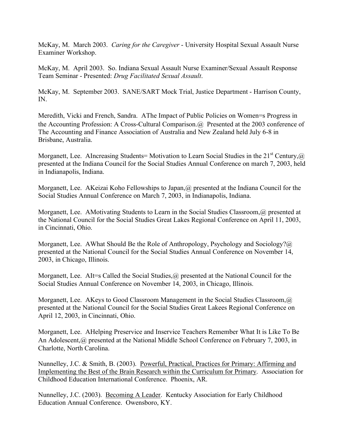McKay, M. March 2003. *Caring for the Caregiver* - University Hospital Sexual Assault Nurse Examiner Workshop.

McKay, M. April 2003. So. Indiana Sexual Assault Nurse Examiner/Sexual Assault Response Team Seminar - Presented: *Drug Facilitated Sexual Assault*.

McKay, M. September 2003. SANE/SART Mock Trial, Justice Department - Harrison County, IN.

Meredith, Vicki and French, Sandra. AThe Impact of Public Policies on Women=s Progress in the Accounting Profession: A Cross-Cultural Comparison.@ Presented at the 2003 conference of The Accounting and Finance Association of Australia and New Zealand held July 6-8 in Brisbane, Australia.

Morganett, Lee. AIncreasing Students= Motivation to Learn Social Studies in the 21<sup>st</sup> Century, @ presented at the Indiana Council for the Social Studies Annual Conference on march 7, 2003, held in Indianapolis, Indiana.

Morganett, Lee. AKeizai Koho Fellowships to Japan, @ presented at the Indiana Council for the Social Studies Annual Conference on March 7, 2003, in Indianapolis, Indiana.

Morganett, Lee. AMotivating Students to Learn in the Social Studies Classroom,@ presented at the National Council for the Social Studies Great Lakes Regional Conference on April 11, 2003, in Cincinnati, Ohio.

Morganett, Lee. AWhat Should Be the Role of Anthropology, Psychology and Sociology?@ presented at the National Council for the Social Studies Annual Conference on November 14, 2003, in Chicago, Illinois.

Morganett, Lee. AIt=s Called the Social Studies, @ presented at the National Council for the Social Studies Annual Conference on November 14, 2003, in Chicago, Illinois.

Morganett, Lee. AKeys to Good Classroom Management in the Social Studies Classroom, @ presented at the National Council for the Social Studies Great Lakees Regional Conference on April 12, 2003, in Cincinnati, Ohio.

Morganett, Lee. AHelping Preservice and Inservice Teachers Remember What It is Like To Be An Adolescent,@ presented at the National Middle School Conference on February 7, 2003, in Charlotte, North Carolina.

Nunnelley, J.C. & Smith, B. (2003). Powerful, Practical, Practices for Primary: Affirming and Implementing the Best of the Brain Research within the Curriculum for Primary. Association for Childhood Education International Conference. Phoenix, AR.

Nunnelley, J.C. (2003). Becoming A Leader. Kentucky Association for Early Childhood Education Annual Conference. Owensboro, KY.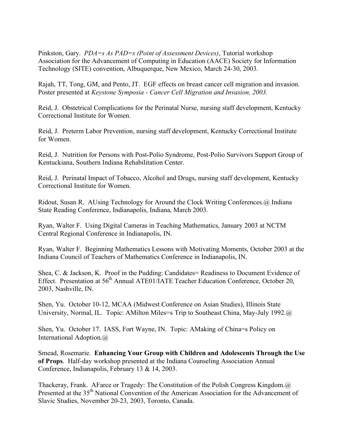Pinkston, Gary. *PDA=s As PAD=s (Point of Assessment Devices)*, Tutorial workshop Association for the Advancement of Computing in Education (AACE) Society for Information Technology (SITE) convention, Albuquerque, New Mexico, March 24-30, 2003.

Rajah, TT, Tong, GM, and Pento, JT. EGF effects on breast cancer cell migration and invasion. Poster presented at *Keystone Symposia - Cancer Cell Migration and Invasion, 2003.*

Reid, J. Obstetrical Complications for the Perinatal Nurse, nursing staff development, Kentucky Correctional Institute for Women.

Reid, J. Preterm Labor Prevention, nursing staff development, Kentucky Correctional Institute for Women.

Reid, J. Nutrition for Persons with Post-Polio Syndrome, Post-Polio Survivors Support Group of Kentuckiana, Southern Indiana Rehabilitation Center.

Reid, J. Perinatal Impact of Tobacco, Alcohol and Drugs, nursing staff development, Kentucky Correctional Institute for Women.

Ridout, Susan R. AUsing Technology for Around the Clock Writing Conferences.@ Indiana State Reading Conference, Indianapolis, Indiana, March 2003.

Ryan, Walter F. Using Digital Cameras in Teaching Mathematics, January 2003 at NCTM Central Regional Conference in Indianapolis, IN.

Ryan, Walter F. Beginning Mathematics Lessons with Motivating Moments, October 2003 at the Indiana Council of Teachers of Mathematics Conference in Indianapolis, IN.

Shea, C. & Jackson, K. Proof in the Pudding: Candidates= Readiness to Document Evidence of Effect. Presentation at 56<sup>th</sup> Annual ATE01/IATE Teacher Education Conference, October 20, 2003, Nashville, IN.

Shen, Yu. October 10-12, MCAA (Midwest Conference on Asian Studies), Illinois State University, Normal, IL. Topic: AMilton Miles=s Trip to Southeast China, May-July 1992.@

Shen, Yu. October 17. IASS, Fort Wayne, IN. Topic: AMaking of China=s Policy on International Adoption.@

Smead, Rosemarie. **Enhancing Your Group with Children and Adolescents Through the Use of Props**. Half-day workshop presented at the Indiana Counseling Association Annual Conference, Indianapolis, February 13 & 14, 2003.

Thackeray, Frank. AFarce or Tragedy: The Constitution of the Polish Congress Kingdom.@ Presented at the 35<sup>th</sup> National Convention of the American Association for the Advancement of Slavic Studies, November 20-23, 2003, Toronto, Canada.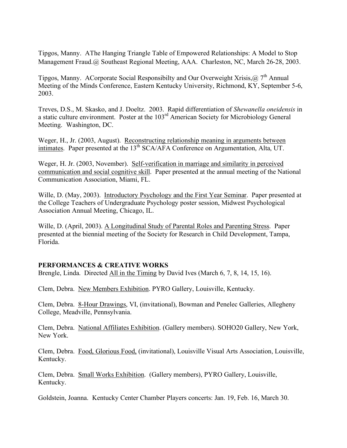Tipgos, Manny. AThe Hanging Triangle Table of Empowered Relationships: A Model to Stop Management Fraud.@ Southeast Regional Meeting, AAA. Charleston, NC, March 26-28, 2003.

Tipgos, Manny. ACorporate Social Responsibilty and Our Overweight Xrisis,  $\omega$ ,  $7<sup>th</sup>$  Annual Meeting of the Minds Conference, Eastern Kentucky University, Richmond, KY, September 5-6, 2003.

Treves, D.S., M. Skasko, and J. Doeltz. 2003. Rapid differentiation of *Shewanella oneidensis* in a static culture environment. Poster at the 103rd American Society for Microbiology General Meeting. Washington, DC.

Weger, H., Jr. (2003, August). Reconstructing relationship meaning in arguments between intimates. Paper presented at the 13<sup>th</sup> SCA/AFA Conference on Argumentation, Alta, UT.

Weger, H. Jr. (2003, November). Self-verification in marriage and similarity in perceived communication and social cognitive skill. Paper presented at the annual meeting of the National Communication Association, Miami, FL.

Wille, D. (May, 2003). Introductory Psychology and the First Year Seminar. Paper presented at the College Teachers of Undergraduate Psychology poster session, Midwest Psychological Association Annual Meeting, Chicago, IL.

Wille, D. (April, 2003). A Longitudinal Study of Parental Roles and Parenting Stress. Paper presented at the biennial meeting of the Society for Research in Child Development, Tampa, Florida.

### **PERFORMANCES & CREATIVE WORKS**

Brengle, Linda. Directed All in the Timing by David Ives (March 6, 7, 8, 14, 15, 16).

Clem, Debra. New Members Exhibition. PYRO Gallery, Louisville, Kentucky.

Clem, Debra. 8-Hour Drawings, VI, (invitational), Bowman and Penelec Galleries, Allegheny College, Meadville, Pennsylvania.

Clem, Debra. National Affiliates Exhibition. (Gallery members). SOHO20 Gallery, New York, New York.

Clem, Debra. Food, Glorious Food, (invitational), Louisville Visual Arts Association, Louisville, Kentucky.

Clem, Debra. Small Works Exhibition. (Gallery members), PYRO Gallery, Louisville, Kentucky.

Goldstein, Joanna. Kentucky Center Chamber Players concerts: Jan. 19, Feb. 16, March 30.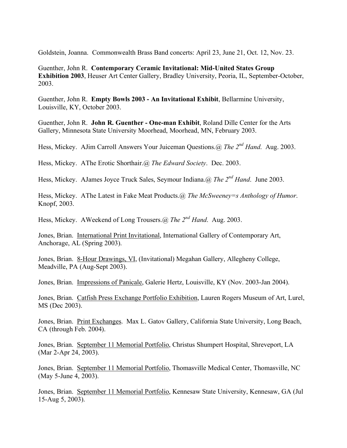Goldstein, Joanna. Commonwealth Brass Band concerts: April 23, June 21, Oct. 12, Nov. 23.

Guenther, John R. **Contemporary Ceramic Invitational: Mid-United States Group Exhibition 2003**, Heuser Art Center Gallery, Bradley University, Peoria, IL, September-October, 2003.

Guenther, John R. **Empty Bowls 2003 - An Invitational Exhibit**, Bellarmine University, Louisville, KY, October 2003.

Guenther, John R. **John R. Guenther - One-man Exhibit**, Roland Dille Center for the Arts Gallery, Minnesota State University Moorhead, Moorhead, MN, February 2003.

Hess, Mickey. AJim Carroll Answers Your Juiceman Questions.@ *The 2nd Hand*. Aug. 2003.

Hess, Mickey. AThe Erotic Shorthair.@ *The Edward Society*. Dec. 2003.

Hess, Mickey. AJames Joyce Truck Sales, Seymour Indiana.@ *The 2nd Hand*. June 2003.

Hess, Mickey. AThe Latest in Fake Meat Products.@ *The McSweeney=s Anthology of Humor*. Knopf, 2003.

Hess, Mickey. AWeekend of Long Trousers.@ *The 2nd Hand*. Aug. 2003.

Jones, Brian. International Print Invitational, International Gallery of Contemporary Art, Anchorage, AL (Spring 2003).

Jones, Brian. 8-Hour Drawings, VI, (Invitational) Megahan Gallery, Allegheny College, Meadville, PA (Aug-Sept 2003).

Jones, Brian. Impressions of Panicale, Galerie Hertz, Louisville, KY (Nov. 2003-Jan 2004).

Jones, Brian. Catfish Press Exchange Portfolio Exhibition, Lauren Rogers Museum of Art, Lurel, MS (Dec 2003).

Jones, Brian. Print Exchanges. Max L. Gatov Gallery, California State University, Long Beach, CA (through Feb. 2004).

Jones, Brian. September 11 Memorial Portfolio, Christus Shumpert Hospital, Shreveport, LA (Mar 2-Apr 24, 2003).

Jones, Brian. September 11 Memorial Portfolio, Thomasville Medical Center, Thomasville, NC (May 5-June 4, 2003).

Jones, Brian. September 11 Memorial Portfolio, Kennesaw State University, Kennesaw, GA (Jul 15-Aug 5, 2003).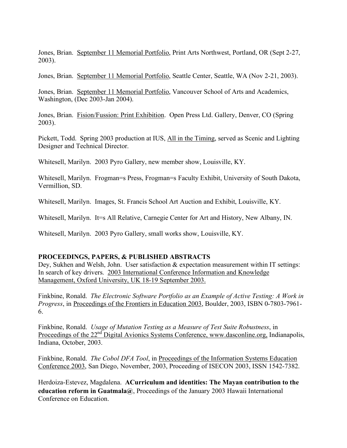Jones, Brian. September 11 Memorial Portfolio, Print Arts Northwest, Portland, OR (Sept 2-27, 2003).

Jones, Brian. September 11 Memorial Portfolio, Seattle Center, Seattle, WA (Nov 2-21, 2003).

Jones, Brian. September 11 Memorial Portfolio, Vancouver School of Arts and Academics, Washington, (Dec 2003-Jan 2004).

Jones, Brian. Fision/Fussion: Print Exhibition. Open Press Ltd. Gallery, Denver, CO (Spring 2003).

Pickett, Todd. Spring 2003 production at IUS, All in the Timing, served as Scenic and Lighting Designer and Technical Director.

Whitesell, Marilyn. 2003 Pyro Gallery, new member show, Louisville, KY.

Whitesell, Marilyn. Frogman=s Press, Frogman=s Faculty Exhibit, University of South Dakota, Vermillion, SD.

Whitesell, Marilyn. Images, St. Francis School Art Auction and Exhibit, Louisville, KY.

Whitesell, Marilyn. It=s All Relative, Carnegie Center for Art and History, New Albany, IN.

Whitesell, Marilyn. 2003 Pyro Gallery, small works show, Louisville, KY.

### **PROCEEDINGS, PAPERS, & PUBLISHED ABSTRACTS**

Dey, Sukhen and Welsh, John. User satisfaction & expectation measurement within IT settings: In search of key drivers. 2003 International Conference Information and Knowledge Management, Oxford University, UK 18-19 September 2003.

Finkbine, Ronald. *The Electronic Software Portfolio as an Example of Active Testing: A Work in Progress*, in Proceedings of the Frontiers in Education 2003, Boulder, 2003, ISBN 0-7803-7961- 6.

Finkbine, Ronald. *Usage of Mutation Testing as a Measure of Test Suite Robustness*, in Proceedings of the 22<sup>nd</sup> Digital Avionics Systems Conference, www.dasconline.org, Indianapolis, Indiana, October, 2003.

Finkbine, Ronald. *The Cobol DFA Tool*, in Proceedings of the Information Systems Education Conference 2003, San Diego, November, 2003, Proceeding of ISECON 2003, ISSN 1542-7382.

Herdoiza-Estevez, Magdalena. **ACurriculum and identities: The Mayan contribution to the education reform in Guatmala@**, Proceedings of the January 2003 Hawaii International Conference on Education.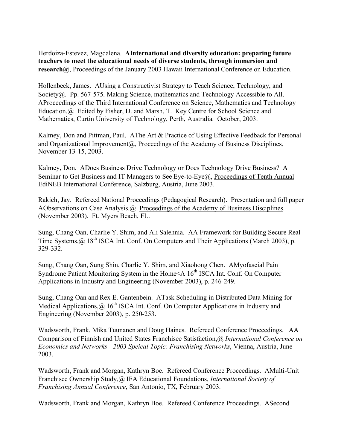Herdoiza-Estevez, Magdalena. **AInternational and diversity education: preparing future teachers to meet the educational needs of diverse students, through immersion and research@**, Proceedings of the January 2003 Hawaii International Conference on Education.

Hollenbeck, James. AUsing a Constructivist Strategy to Teach Science, Technology, and Society@. Pp. 567-575. Making Science, mathematics and Technology Accessible to All. AProceedings of the Third International Conference on Science, Mathematics and Technology Education.@ Edited by Fisher, D. and Marsh, T. Key Centre for School Science and Mathematics, Curtin University of Technology, Perth, Australia. October, 2003.

Kalmey, Don and Pittman, Paul. AThe Art & Practice of Using Effective Feedback for Personal and Organizational Improvement@, Proceedings of the Academy of Business Disciplines, November 13-15, 2003.

Kalmey, Don. ADoes Business Drive Technology or Does Technology Drive Business? A Seminar to Get Business and IT Managers to See Eye-to-Eye@, Proceedings of Tenth Annual EdiNEB International Conference, Salzburg, Austria, June 2003.

Rakich, Jay. Refereed National Proceedings (Pedagogical Research). Presentation and full paper AObservations on Case Analysis.@ Proceedings of the Academy of Business Disciplines. (November 2003). Ft. Myers Beach, FL.

Sung, Chang Oan, Charlie Y. Shim, and Ali Salehnia. AA Framework for Building Secure Real-Time Systems, @ 18<sup>th</sup> ISCA Int. Conf. On Computers and Their Applications (March 2003), p. 329-332.

Sung, Chang Oan, Sung Shin, Charlie Y. Shim, and Xiaohong Chen. AMyofascial Pain Syndrome Patient Monitoring System in the Home $\leq A$  16<sup>th</sup> ISCA Int. Conf. On Computer Applications in Industry and Engineering (November 2003), p. 246-249.

Sung, Chang Oan and Rex E. Gantenbein. ATask Scheduling in Distributed Data Mining for Medical Applications,  $\omega$  16<sup>th</sup> ISCA Int. Conf. On Computer Applications in Industry and Engineering (November 2003), p. 250-253.

Wadsworth, Frank, Mika Tuunanen and Doug Haines. Refereed Conference Proceedings. AA Comparison of Finnish and United States Franchisee Satisfaction,@ *International Conference on Economics and Networks - 2003 Speical Topic: Franchising Networks*, Vienna, Austria, June 2003.

Wadsworth, Frank and Morgan, Kathryn Boe. Refereed Conference Proceedings. AMulti-Unit Franchisee Ownership Study,@ IFA Educational Foundations, *International Society of Franchising Annual Conference*, San Antonio, TX, February 2003.

Wadsworth, Frank and Morgan, Kathryn Boe. Refereed Conference Proceedings. ASecond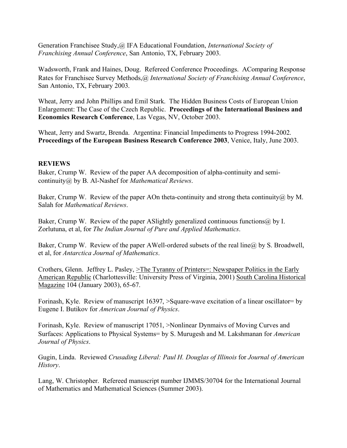Generation Franchisee Study,@ IFA Educational Foundation, *International Society of Franchising Annual Conference*, San Antonio, TX, February 2003.

Wadsworth, Frank and Haines, Doug. Refereed Conference Proceedings. AComparing Response Rates for Franchisee Survey Methods,@ *International Society of Franchising Annual Conference*, San Antonio, TX, February 2003.

Wheat, Jerry and John Phillips and Emil Stark. The Hidden Business Costs of European Union Enlargement: The Case of the Czech Republic. **Proceedings of the International Business and Economics Research Conference**, Las Vegas, NV, October 2003.

Wheat, Jerry and Swartz, Brenda. Argentina: Financial Impediments to Progress 1994-2002. **Proceedings of the European Business Research Conference 2003**, Venice, Italy, June 2003.

### **REVIEWS**

Baker, Crump W. Review of the paper AA decomposition of alpha-continuity and semicontinuity@ by B. Al-Nashef for *Mathematical Reviews*.

Baker, Crump W. Review of the paper AOn theta-continuity and strong theta continuity  $\omega$  by M. Salah for *Mathematical Reviews*.

Baker, Crump W. Review of the paper ASlightly generalized continuous functions  $(a)$  by I. Zorlutuna, et al, for *The Indian Journal of Pure and Applied Mathematics*.

Baker, Crump W. Review of the paper AWell-ordered subsets of the real line  $\hat{a}$  by S. Broadwell, et al, for *Antarctica Journal of Mathematics*.

Crothers, Glenn. Jeffrey L. Pasley,  $\geq$ The Tyranny of Printers=: Newspaper Politics in the Early American Republic (Charlottesville: University Press of Virginia, 2001) South Carolina Historical Magazine 104 (January 2003), 65-67.

Forinash, Kyle. Review of manuscript 16397, >Square-wave excitation of a linear oscillator= by Eugene I. Butikov for *American Journal of Physics*.

Forinash, Kyle. Review of manuscript 17051, >Nonlinear Dynmaivs of Moving Curves and Surfaces: Applications to Physical Systems= by S. Murugesh and M. Lakshmanan for *American Journal of Physics*.

Gugin, Linda. Reviewed *Crusading Liberal: Paul H. Douglas of Illinois* for *Journal of American History*.

Lang, W. Christopher. Refereed manuscript number IJMMS/30704 for the International Journal of Mathematics and Mathematical Sciences (Summer 2003).